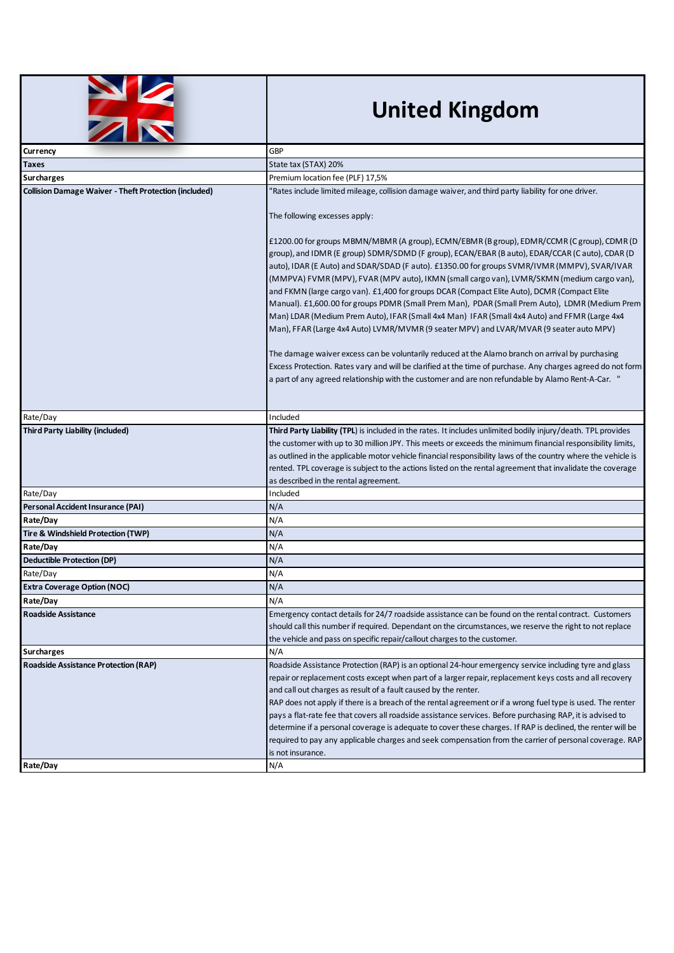

## **United Kingdom**

| <b>The Second Second Second</b>                              |                                                                                                                                                                                                                                                                                                                                                                                                                                                                                                                                                                                                                                                                                                                                                                                                                                                                                                                                                                                                                                                                                                                                                                                                                                                       |
|--------------------------------------------------------------|-------------------------------------------------------------------------------------------------------------------------------------------------------------------------------------------------------------------------------------------------------------------------------------------------------------------------------------------------------------------------------------------------------------------------------------------------------------------------------------------------------------------------------------------------------------------------------------------------------------------------------------------------------------------------------------------------------------------------------------------------------------------------------------------------------------------------------------------------------------------------------------------------------------------------------------------------------------------------------------------------------------------------------------------------------------------------------------------------------------------------------------------------------------------------------------------------------------------------------------------------------|
| Currency                                                     | <b>GBP</b>                                                                                                                                                                                                                                                                                                                                                                                                                                                                                                                                                                                                                                                                                                                                                                                                                                                                                                                                                                                                                                                                                                                                                                                                                                            |
| Taxes                                                        | State tax (STAX) 20%                                                                                                                                                                                                                                                                                                                                                                                                                                                                                                                                                                                                                                                                                                                                                                                                                                                                                                                                                                                                                                                                                                                                                                                                                                  |
| <b>Surcharges</b>                                            | Premium location fee (PLF) 17,5%                                                                                                                                                                                                                                                                                                                                                                                                                                                                                                                                                                                                                                                                                                                                                                                                                                                                                                                                                                                                                                                                                                                                                                                                                      |
| <b>Collision Damage Waiver - Theft Protection (included)</b> | Rates include limited mileage, collision damage waiver, and third party liability for one driver.<br>The following excesses apply:<br>£1200.00 for groups MBMN/MBMR (A group), ECMN/EBMR (B group), EDMR/CCMR (C group), CDMR (D<br>group), and IDMR (E group) SDMR/SDMD (F group), ECAN/EBAR (B auto), EDAR/CCAR (C auto), CDAR (D<br>auto), IDAR (E Auto) and SDAR/SDAD (F auto). £1350.00 for groups SVMR/IVMR (MMPV), SVAR/IVAR<br>(MMPVA) FVMR (MPV), FVAR (MPV auto), IKMN (small cargo van), LVMR/SKMN (medium cargo van),<br>and FKMN (large cargo van). £1,400 for groups DCAR (Compact Elite Auto), DCMR (Compact Elite<br>Manual). £1,600.00 for groups PDMR (Small Prem Man), PDAR (Small Prem Auto), LDMR (Medium Prem<br>Man) LDAR (Medium Prem Auto), IFAR (Small 4x4 Man) IFAR (Small 4x4 Auto) and FFMR (Large 4x4<br>Man), FFAR (Large 4x4 Auto) LVMR/MVMR (9 seater MPV) and LVAR/MVAR (9 seater auto MPV)<br>The damage waiver excess can be voluntarily reduced at the Alamo branch on arrival by purchasing<br>Excess Protection. Rates vary and will be clarified at the time of purchase. Any charges agreed do not form<br>a part of any agreed relationship with the customer and are non refundable by Alamo Rent-A-Car. " |
| Rate/Day                                                     | Included                                                                                                                                                                                                                                                                                                                                                                                                                                                                                                                                                                                                                                                                                                                                                                                                                                                                                                                                                                                                                                                                                                                                                                                                                                              |
| <b>Third Party Liability (included)</b>                      | Third Party Liability (TPL) is included in the rates. It includes unlimited bodily injury/death. TPL provides<br>the customer with up to 30 million JPY. This meets or exceeds the minimum financial responsibility limits,<br>as outlined in the applicable motor vehicle financial responsibility laws of the country where the vehicle is<br>rented. TPL coverage is subject to the actions listed on the rental agreement that invalidate the coverage<br>as described in the rental agreement.                                                                                                                                                                                                                                                                                                                                                                                                                                                                                                                                                                                                                                                                                                                                                   |
| Rate/Day                                                     | Included                                                                                                                                                                                                                                                                                                                                                                                                                                                                                                                                                                                                                                                                                                                                                                                                                                                                                                                                                                                                                                                                                                                                                                                                                                              |
| Personal Accident Insurance (PAI)                            | N/A                                                                                                                                                                                                                                                                                                                                                                                                                                                                                                                                                                                                                                                                                                                                                                                                                                                                                                                                                                                                                                                                                                                                                                                                                                                   |
| Rate/Day                                                     | N/A                                                                                                                                                                                                                                                                                                                                                                                                                                                                                                                                                                                                                                                                                                                                                                                                                                                                                                                                                                                                                                                                                                                                                                                                                                                   |
| Tire & Windshield Protection (TWP)                           | N/A                                                                                                                                                                                                                                                                                                                                                                                                                                                                                                                                                                                                                                                                                                                                                                                                                                                                                                                                                                                                                                                                                                                                                                                                                                                   |
| Rate/Day                                                     | N/A                                                                                                                                                                                                                                                                                                                                                                                                                                                                                                                                                                                                                                                                                                                                                                                                                                                                                                                                                                                                                                                                                                                                                                                                                                                   |
| Deductible Protection (DP)                                   | N/A                                                                                                                                                                                                                                                                                                                                                                                                                                                                                                                                                                                                                                                                                                                                                                                                                                                                                                                                                                                                                                                                                                                                                                                                                                                   |
| Rate/Day                                                     | N/A                                                                                                                                                                                                                                                                                                                                                                                                                                                                                                                                                                                                                                                                                                                                                                                                                                                                                                                                                                                                                                                                                                                                                                                                                                                   |
| <b>Extra Coverage Option (NOC)</b>                           | N/A                                                                                                                                                                                                                                                                                                                                                                                                                                                                                                                                                                                                                                                                                                                                                                                                                                                                                                                                                                                                                                                                                                                                                                                                                                                   |
| Rate/Day                                                     | N/A                                                                                                                                                                                                                                                                                                                                                                                                                                                                                                                                                                                                                                                                                                                                                                                                                                                                                                                                                                                                                                                                                                                                                                                                                                                   |
| <b>Roadside Assistance</b>                                   | Emergency contact details for 24/7 roadside assistance can be found on the rental contract. Customers<br>should call this number if required. Dependant on the circumstances, we reserve the right to not replace<br>the vehicle and pass on specific repair/callout charges to the customer.                                                                                                                                                                                                                                                                                                                                                                                                                                                                                                                                                                                                                                                                                                                                                                                                                                                                                                                                                         |
| <b>Surcharges</b>                                            | N/A                                                                                                                                                                                                                                                                                                                                                                                                                                                                                                                                                                                                                                                                                                                                                                                                                                                                                                                                                                                                                                                                                                                                                                                                                                                   |
| <b>Roadside Assistance Protection (RAP)</b>                  | Roadside Assistance Protection (RAP) is an optional 24-hour emergency service including tyre and glass<br>repair or replacement costs except when part of a larger repair, replacement keys costs and all recovery<br>and call out charges as result of a fault caused by the renter.<br>RAP does not apply if there is a breach of the rental agreement or if a wrong fuel type is used. The renter<br>pays a flat-rate fee that covers all roadside assistance services. Before purchasing RAP, it is advised to<br>determine if a personal coverage is adequate to cover these charges. If RAP is declined, the renter will be<br>required to pay any applicable charges and seek compensation from the carrier of personal coverage. RAP<br>is not insurance.                                                                                                                                                                                                                                                                                                                                                                                                                                                                                     |
| Rate/Day                                                     | N/A                                                                                                                                                                                                                                                                                                                                                                                                                                                                                                                                                                                                                                                                                                                                                                                                                                                                                                                                                                                                                                                                                                                                                                                                                                                   |
|                                                              |                                                                                                                                                                                                                                                                                                                                                                                                                                                                                                                                                                                                                                                                                                                                                                                                                                                                                                                                                                                                                                                                                                                                                                                                                                                       |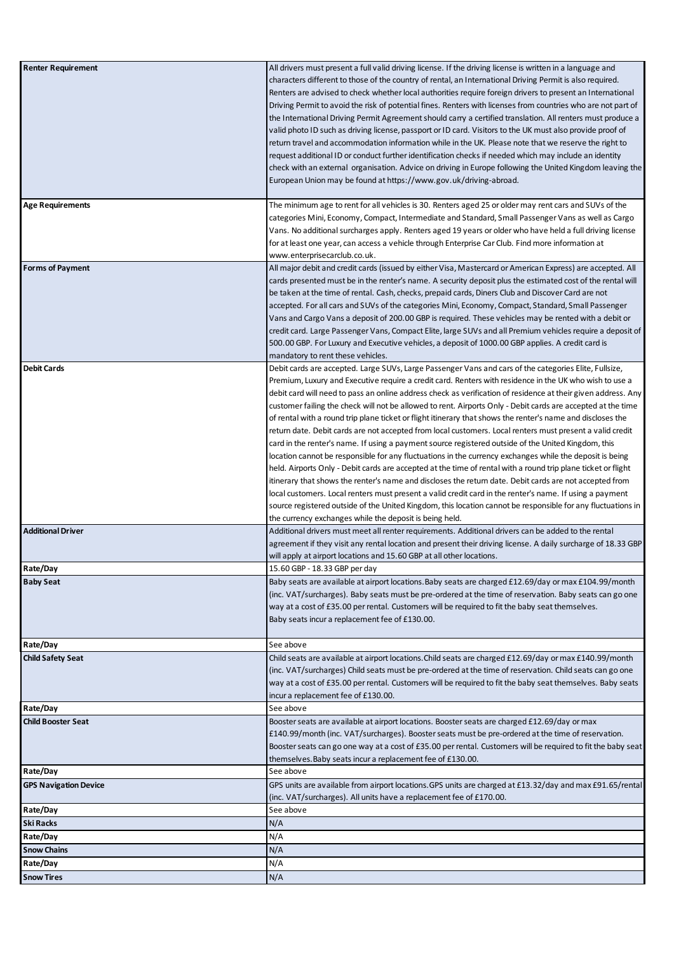| <b>Renter Requirement</b>    | All drivers must present a full valid driving license. If the driving license is written in a language and    |
|------------------------------|---------------------------------------------------------------------------------------------------------------|
|                              | characters different to those of the country of rental, an International Driving Permit is also required.     |
|                              | Renters are advised to check whether local authorities require foreign drivers to present an International    |
|                              | Driving Permit to avoid the risk of potential fines. Renters with licenses from countries who are not part of |
|                              |                                                                                                               |
|                              | the International Driving Permit Agreement should carry a certified translation. All renters must produce a   |
|                              | valid photo ID such as driving license, passport or ID card. Visitors to the UK must also provide proof of    |
|                              | return travel and accommodation information while in the UK. Please note that we reserve the right to         |
|                              |                                                                                                               |
|                              | request additional ID or conduct further identification checks if needed which may include an identity        |
|                              | check with an external organisation. Advice on driving in Europe following the United Kingdom leaving the     |
|                              | European Union may be found at https://www.gov.uk/driving-abroad.                                             |
|                              |                                                                                                               |
|                              |                                                                                                               |
| <b>Age Requirements</b>      | The minimum age to rent for all vehicles is 30. Renters aged 25 or older may rent cars and SUVs of the        |
|                              | categories Mini, Economy, Compact, Intermediate and Standard, Small Passenger Vans as well as Cargo           |
|                              | Vans. No additional surcharges apply. Renters aged 19 years or older who have held a full driving license     |
|                              | for at least one year, can access a vehicle through Enterprise Car Club. Find more information at             |
|                              |                                                                                                               |
|                              | www.enterprisecarclub.co.uk.                                                                                  |
| <b>Forms of Payment</b>      | All major debit and credit cards (issued by either Visa, Mastercard or American Express) are accepted. All    |
|                              | cards presented must be in the renter's name. A security deposit plus the estimated cost of the rental will   |
|                              | be taken at the time of rental. Cash, checks, prepaid cards, Diners Club and Discover Card are not            |
|                              |                                                                                                               |
|                              | accepted. For all cars and SUVs of the categories Mini, Economy, Compact, Standard, Small Passenger           |
|                              | Vans and Cargo Vans a deposit of 200.00 GBP is required. These vehicles may be rented with a debit or         |
|                              | credit card. Large Passenger Vans, Compact Elite, large SUVs and all Premium vehicles require a deposit of    |
|                              |                                                                                                               |
|                              | 500.00 GBP. For Luxury and Executive vehicles, a deposit of 1000.00 GBP applies. A credit card is             |
|                              | mandatory to rent these vehicles.                                                                             |
| <b>Debit Cards</b>           | Debit cards are accepted. Large SUVs, Large Passenger Vans and cars of the categories Elite, Fullsize,        |
|                              | Premium, Luxury and Executive require a credit card. Renters with residence in the UK who wish to use a       |
|                              |                                                                                                               |
|                              | debit card will need to pass an online address check as verification of residence at their given address. Any |
|                              | customer failing the check will not be allowed to rent. Airports Only - Debit cards are accepted at the time  |
|                              | of rental with a round trip plane ticket or flight itinerary that shows the renter's name and discloses the   |
|                              | return date. Debit cards are not accepted from local customers. Local renters must present a valid credit     |
|                              |                                                                                                               |
|                              | card in the renter's name. If using a payment source registered outside of the United Kingdom, this           |
|                              | location cannot be responsible for any fluctuations in the currency exchanges while the deposit is being      |
|                              | held. Airports Only - Debit cards are accepted at the time of rental with a round trip plane ticket or flight |
|                              |                                                                                                               |
|                              | itinerary that shows the renter's name and discloses the return date. Debit cards are not accepted from       |
|                              | local customers. Local renters must present a valid credit card in the renter's name. If using a payment      |
|                              | source registered outside of the United Kingdom, this location cannot be responsible for any fluctuations in  |
|                              | the currency exchanges while the deposit is being held.                                                       |
|                              |                                                                                                               |
| <b>Additional Driver</b>     | Additional drivers must meet all renter requirements. Additional drivers can be added to the rental           |
|                              | agreement if they visit any rental location and present their driving license. A daily surcharge of 18.33 GBP |
|                              | will apply at airport locations and 15.60 GBP at all other locations.                                         |
| Rate/Day                     | 15.60 GBP - 18.33 GBP per day                                                                                 |
|                              |                                                                                                               |
| <b>Baby Seat</b>             | Baby seats are available at airport locations. Baby seats are charged £12.69/day or max £104.99/month         |
|                              | (inc. VAT/surcharges). Baby seats must be pre-ordered at the time of reservation. Baby seats can go one       |
|                              | way at a cost of £35.00 per rental. Customers will be required to fit the baby seat themselves.               |
|                              |                                                                                                               |
|                              | Baby seats incur a replacement fee of £130.00.                                                                |
|                              |                                                                                                               |
| Rate/Day                     | See above                                                                                                     |
| <b>Child Safety Seat</b>     |                                                                                                               |
|                              | Child seats are available at airport locations. Child seats are charged £12.69/day or max £140.99/month       |
|                              | (inc. VAT/surcharges) Child seats must be pre-ordered at the time of reservation. Child seats can go one      |
|                              | way at a cost of £35.00 per rental. Customers will be required to fit the baby seat themselves. Baby seats    |
|                              | incur a replacement fee of £130.00.                                                                           |
|                              |                                                                                                               |
| Rate/Day                     | See above                                                                                                     |
| <b>Child Booster Seat</b>    | Booster seats are available at airport locations. Booster seats are charged £12.69/day or max                 |
|                              | £140.99/month (inc. VAT/surcharges). Booster seats must be pre-ordered at the time of reservation.            |
|                              |                                                                                                               |
|                              | Booster seats can go one way at a cost of £35.00 per rental. Customers will be required to fit the baby seat  |
|                              | themselves. Baby seats incur a replacement fee of £130.00.                                                    |
| Rate/Day                     | See above                                                                                                     |
| <b>GPS Navigation Device</b> | GPS units are available from airport locations. GPS units are charged at £13.32/day and max £91.65/rental     |
|                              |                                                                                                               |
|                              | (inc. VAT/surcharges). All units have a replacement fee of £170.00.                                           |
| Rate/Day                     | See above                                                                                                     |
| Ski Racks                    | N/A                                                                                                           |
|                              |                                                                                                               |
| Rate/Day                     | N/A                                                                                                           |
| <b>Snow Chains</b>           | N/A                                                                                                           |
| Rate/Day                     | N/A                                                                                                           |
|                              |                                                                                                               |
| <b>Snow Tires</b>            | N/A                                                                                                           |